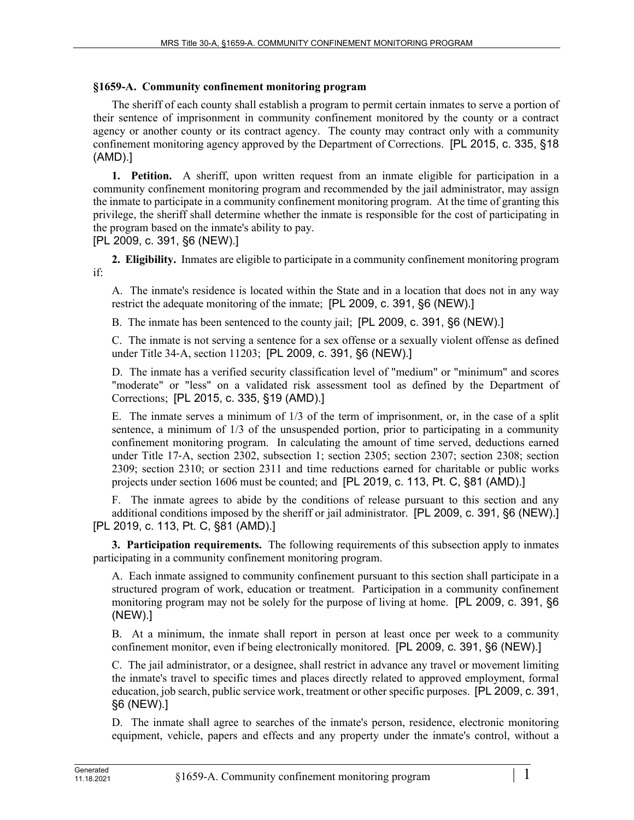## **§1659-A. Community confinement monitoring program**

The sheriff of each county shall establish a program to permit certain inmates to serve a portion of their sentence of imprisonment in community confinement monitored by the county or a contract agency or another county or its contract agency. The county may contract only with a community confinement monitoring agency approved by the Department of Corrections. [PL 2015, c. 335, §18 (AMD).]

**1. Petition.** A sheriff, upon written request from an inmate eligible for participation in a community confinement monitoring program and recommended by the jail administrator, may assign the inmate to participate in a community confinement monitoring program. At the time of granting this privilege, the sheriff shall determine whether the inmate is responsible for the cost of participating in the program based on the inmate's ability to pay.

[PL 2009, c. 391, §6 (NEW).]

**2. Eligibility.** Inmates are eligible to participate in a community confinement monitoring program if:

A. The inmate's residence is located within the State and in a location that does not in any way restrict the adequate monitoring of the inmate; [PL 2009, c. 391, §6 (NEW).]

B. The inmate has been sentenced to the county jail; [PL 2009, c. 391, §6 (NEW).]

C. The inmate is not serving a sentence for a sex offense or a sexually violent offense as defined under Title 34-A, section 11203; [PL 2009, c. 391, §6 (NEW).]

D. The inmate has a verified security classification level of "medium" or "minimum" and scores "moderate" or "less" on a validated risk assessment tool as defined by the Department of Corrections; [PL 2015, c. 335, §19 (AMD).]

E. The inmate serves a minimum of 1/3 of the term of imprisonment, or, in the case of a split sentence, a minimum of 1/3 of the unsuspended portion, prior to participating in a community confinement monitoring program. In calculating the amount of time served, deductions earned under Title 17‑A, section 2302, subsection 1; section 2305; section 2307; section 2308; section 2309; section 2310; or section 2311 and time reductions earned for charitable or public works projects under section 1606 must be counted; and [PL 2019, c. 113, Pt. C, §81 (AMD).]

F. The inmate agrees to abide by the conditions of release pursuant to this section and any additional conditions imposed by the sheriff or jail administrator. [PL 2009, c. 391, §6 (NEW).] [PL 2019, c. 113, Pt. C, §81 (AMD).]

**3. Participation requirements.** The following requirements of this subsection apply to inmates participating in a community confinement monitoring program.

A. Each inmate assigned to community confinement pursuant to this section shall participate in a structured program of work, education or treatment. Participation in a community confinement monitoring program may not be solely for the purpose of living at home. [PL 2009, c. 391, §6 (NEW).]

B. At a minimum, the inmate shall report in person at least once per week to a community confinement monitor, even if being electronically monitored. [PL 2009, c. 391, §6 (NEW).]

C. The jail administrator, or a designee, shall restrict in advance any travel or movement limiting the inmate's travel to specific times and places directly related to approved employment, formal education, job search, public service work, treatment or other specific purposes. [PL 2009, c. 391, §6 (NEW).]

D. The inmate shall agree to searches of the inmate's person, residence, electronic monitoring equipment, vehicle, papers and effects and any property under the inmate's control, without a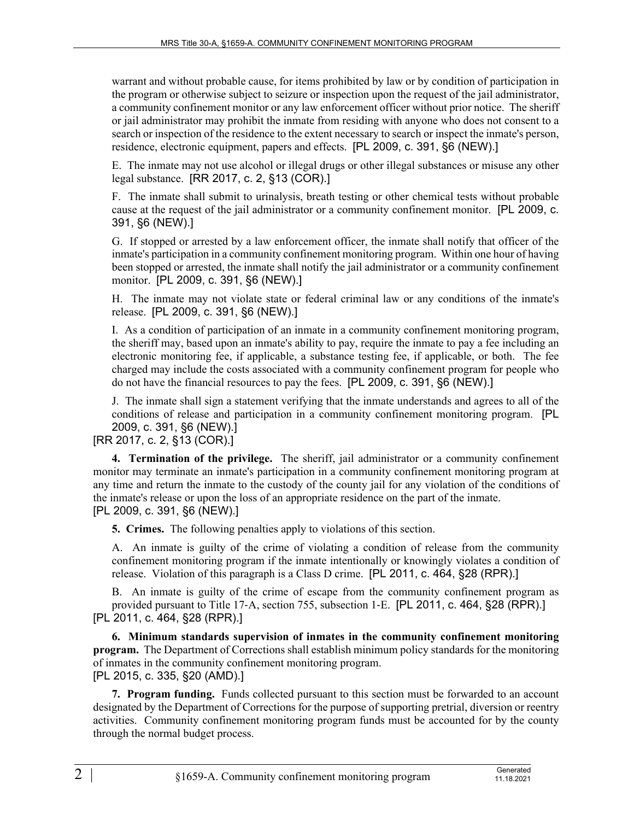warrant and without probable cause, for items prohibited by law or by condition of participation in the program or otherwise subject to seizure or inspection upon the request of the jail administrator, a community confinement monitor or any law enforcement officer without prior notice. The sheriff or jail administrator may prohibit the inmate from residing with anyone who does not consent to a search or inspection of the residence to the extent necessary to search or inspect the inmate's person, residence, electronic equipment, papers and effects. [PL 2009, c. 391, §6 (NEW).]

E. The inmate may not use alcohol or illegal drugs or other illegal substances or misuse any other legal substance. [RR 2017, c. 2, §13 (COR).]

F. The inmate shall submit to urinalysis, breath testing or other chemical tests without probable cause at the request of the jail administrator or a community confinement monitor. [PL 2009, c. 391, §6 (NEW).]

G. If stopped or arrested by a law enforcement officer, the inmate shall notify that officer of the inmate's participation in a community confinement monitoring program. Within one hour of having been stopped or arrested, the inmate shall notify the jail administrator or a community confinement monitor. [PL 2009, c. 391, §6 (NEW).]

H. The inmate may not violate state or federal criminal law or any conditions of the inmate's release. [PL 2009, c. 391, §6 (NEW).]

I. As a condition of participation of an inmate in a community confinement monitoring program, the sheriff may, based upon an inmate's ability to pay, require the inmate to pay a fee including an electronic monitoring fee, if applicable, a substance testing fee, if applicable, or both. The fee charged may include the costs associated with a community confinement program for people who do not have the financial resources to pay the fees. [PL 2009, c. 391, §6 (NEW).]

J. The inmate shall sign a statement verifying that the inmate understands and agrees to all of the conditions of release and participation in a community confinement monitoring program. [PL 2009, c. 391, §6 (NEW).]

## [RR 2017, c. 2, §13 (COR).]

**4. Termination of the privilege.** The sheriff, jail administrator or a community confinement monitor may terminate an inmate's participation in a community confinement monitoring program at any time and return the inmate to the custody of the county jail for any violation of the conditions of the inmate's release or upon the loss of an appropriate residence on the part of the inmate. [PL 2009, c. 391, §6 (NEW).]

**5. Crimes.** The following penalties apply to violations of this section.

A. An inmate is guilty of the crime of violating a condition of release from the community confinement monitoring program if the inmate intentionally or knowingly violates a condition of release. Violation of this paragraph is a Class D crime. [PL 2011, c. 464, §28 (RPR).]

B. An inmate is guilty of the crime of escape from the community confinement program as provided pursuant to Title 17‑A, section 755, subsection 1‑E. [PL 2011, c. 464, §28 (RPR).] [PL 2011, c. 464, §28 (RPR).]

**6. Minimum standards supervision of inmates in the community confinement monitoring program.** The Department of Corrections shall establish minimum policy standards for the monitoring of inmates in the community confinement monitoring program. [PL 2015, c. 335, §20 (AMD).]

**7. Program funding.** Funds collected pursuant to this section must be forwarded to an account designated by the Department of Corrections for the purpose of supporting pretrial, diversion or reentry activities. Community confinement monitoring program funds must be accounted for by the county through the normal budget process.